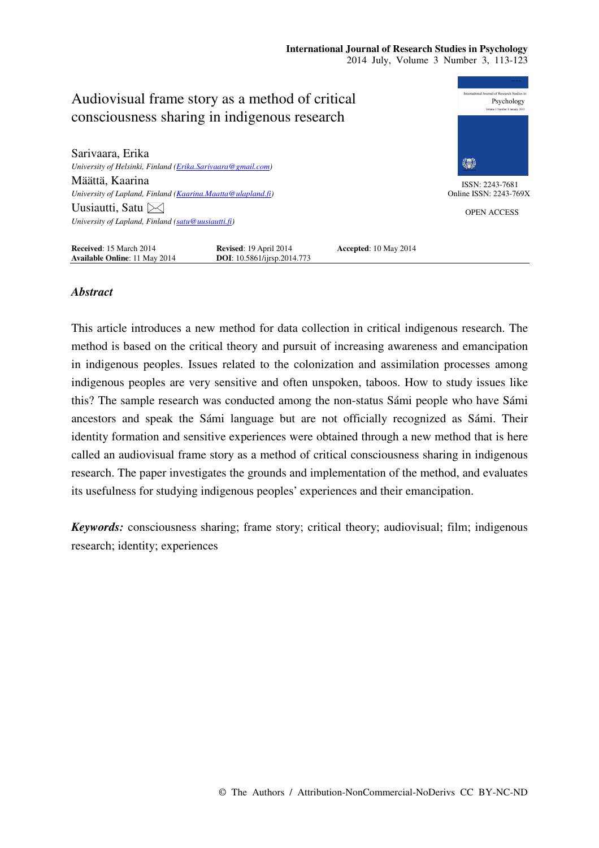

# *Abstract*

This article introduces a new method for data collection in critical indigenous research. The method is based on the critical theory and pursuit of increasing awareness and emancipation in indigenous peoples. Issues related to the colonization and assimilation processes among indigenous peoples are very sensitive and often unspoken, taboos. How to study issues like this? The sample research was conducted among the non-status Sámi people who have Sámi ancestors and speak the Sámi language but are not officially recognized as Sámi. Their identity formation and sensitive experiences were obtained through a new method that is here called an audiovisual frame story as a method of critical consciousness sharing in indigenous research. The paper investigates the grounds and implementation of the method, and evaluates its usefulness for studying indigenous peoples' experiences and their emancipation.

*Keywords:* consciousness sharing; frame story; critical theory; audiovisual; film; indigenous research; identity; experiences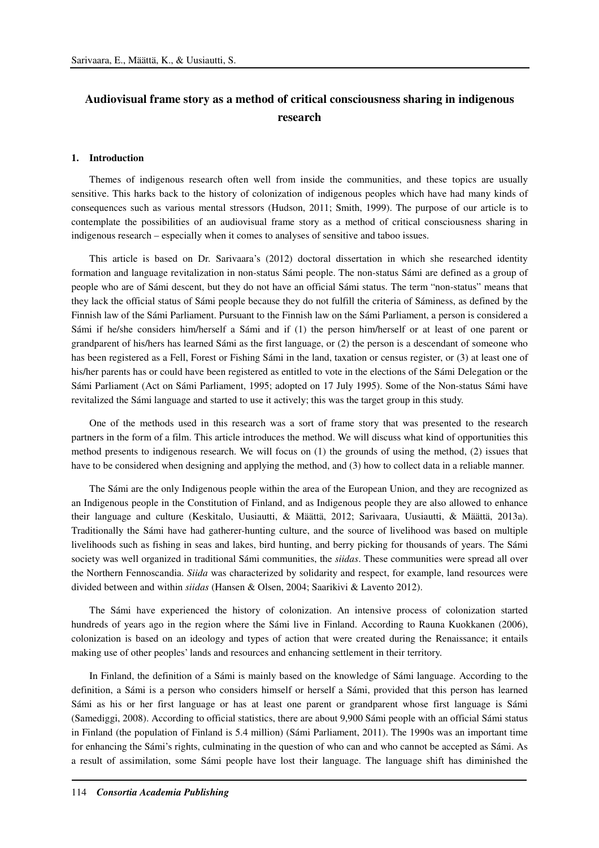# **Audiovisual frame story as a method of critical consciousness sharing in indigenous research**

#### **1. Introduction**

Themes of indigenous research often well from inside the communities, and these topics are usually sensitive. This harks back to the history of colonization of indigenous peoples which have had many kinds of consequences such as various mental stressors (Hudson, 2011; Smith, 1999). The purpose of our article is to contemplate the possibilities of an audiovisual frame story as a method of critical consciousness sharing in indigenous research – especially when it comes to analyses of sensitive and taboo issues.

This article is based on Dr. Sarivaara's (2012) doctoral dissertation in which she researched identity formation and language revitalization in non-status Sámi people. The non-status Sámi are defined as a group of people who are of Sámi descent, but they do not have an official Sámi status. The term "non-status" means that they lack the official status of Sámi people because they do not fulfill the criteria of Sáminess, as defined by the Finnish law of the Sámi Parliament. Pursuant to the Finnish law on the Sámi Parliament, a person is considered a Sámi if he/she considers him/herself a Sámi and if (1) the person him/herself or at least of one parent or grandparent of his/hers has learned Sámi as the first language, or (2) the person is a descendant of someone who has been registered as a Fell, Forest or Fishing Sámi in the land, taxation or census register, or (3) at least one of his/her parents has or could have been registered as entitled to vote in the elections of the Sámi Delegation or the Sámi Parliament (Act on Sámi Parliament, 1995; adopted on 17 July 1995). Some of the Non-status Sámi have revitalized the Sámi language and started to use it actively; this was the target group in this study.

One of the methods used in this research was a sort of frame story that was presented to the research partners in the form of a film. This article introduces the method. We will discuss what kind of opportunities this method presents to indigenous research. We will focus on (1) the grounds of using the method, (2) issues that have to be considered when designing and applying the method, and (3) how to collect data in a reliable manner.

The Sámi are the only Indigenous people within the area of the European Union, and they are recognized as an Indigenous people in the Constitution of Finland, and as Indigenous people they are also allowed to enhance their language and culture (Keskitalo, Uusiautti, & Määttä, 2012; Sarivaara, Uusiautti, & Määttä, 2013a). Traditionally the Sámi have had gatherer-hunting culture, and the source of livelihood was based on multiple livelihoods such as fishing in seas and lakes, bird hunting, and berry picking for thousands of years. The Sámi society was well organized in traditional Sámi communities, the *siidas*. These communities were spread all over the Northern Fennoscandia. *Siida* was characterized by solidarity and respect, for example, land resources were divided between and within *siidas* (Hansen & Olsen, 2004; Saarikivi & Lavento 2012).

The Sámi have experienced the history of colonization. An intensive process of colonization started hundreds of years ago in the region where the Sámi live in Finland. According to Rauna Kuokkanen (2006), colonization is based on an ideology and types of action that were created during the Renaissance; it entails making use of other peoples' lands and resources and enhancing settlement in their territory.

In Finland, the definition of a Sámi is mainly based on the knowledge of Sámi language. According to the definition, a Sámi is a person who considers himself or herself a Sámi, provided that this person has learned Sámi as his or her first language or has at least one parent or grandparent whose first language is Sámi (Samediggi, 2008). According to official statistics, there are about 9,900 Sámi people with an official Sámi status in Finland (the population of Finland is 5.4 million) (Sámi Parliament, 2011). The 1990s was an important time for enhancing the Sámi's rights, culminating in the question of who can and who cannot be accepted as Sámi. As a result of assimilation, some Sámi people have lost their language. The language shift has diminished the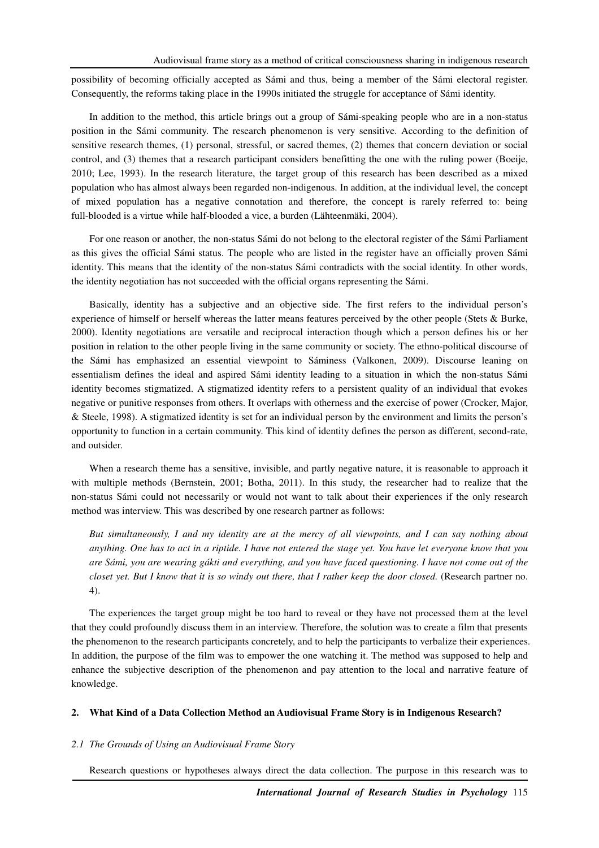possibility of becoming officially accepted as Sámi and thus, being a member of the Sámi electoral register. Consequently, the reforms taking place in the 1990s initiated the struggle for acceptance of Sámi identity.

In addition to the method, this article brings out a group of Sámi-speaking people who are in a non-status position in the Sámi community. The research phenomenon is very sensitive. According to the definition of sensitive research themes, (1) personal, stressful, or sacred themes, (2) themes that concern deviation or social control, and (3) themes that a research participant considers benefitting the one with the ruling power (Boeije, 2010; Lee, 1993). In the research literature, the target group of this research has been described as a mixed population who has almost always been regarded non-indigenous. In addition, at the individual level, the concept of mixed population has a negative connotation and therefore, the concept is rarely referred to: being full-blooded is a virtue while half-blooded a vice, a burden (Lähteenmäki, 2004).

For one reason or another, the non-status Sámi do not belong to the electoral register of the Sámi Parliament as this gives the official Sámi status. The people who are listed in the register have an officially proven Sámi identity. This means that the identity of the non-status Sámi contradicts with the social identity. In other words, the identity negotiation has not succeeded with the official organs representing the Sámi.

Basically, identity has a subjective and an objective side. The first refers to the individual person's experience of himself or herself whereas the latter means features perceived by the other people (Stets & Burke, 2000). Identity negotiations are versatile and reciprocal interaction though which a person defines his or her position in relation to the other people living in the same community or society. The ethno-political discourse of the Sámi has emphasized an essential viewpoint to Sáminess (Valkonen, 2009). Discourse leaning on essentialism defines the ideal and aspired Sámi identity leading to a situation in which the non-status Sámi identity becomes stigmatized. A stigmatized identity refers to a persistent quality of an individual that evokes negative or punitive responses from others. It overlaps with otherness and the exercise of power (Crocker, Major, & Steele, 1998). A stigmatized identity is set for an individual person by the environment and limits the person's opportunity to function in a certain community. This kind of identity defines the person as different, second-rate, and outsider.

When a research theme has a sensitive, invisible, and partly negative nature, it is reasonable to approach it with multiple methods (Bernstein, 2001; Botha, 2011). In this study, the researcher had to realize that the non-status Sámi could not necessarily or would not want to talk about their experiences if the only research method was interview. This was described by one research partner as follows:

*But simultaneously, I and my identity are at the mercy of all viewpoints, and I can say nothing about anything. One has to act in a riptide. I have not entered the stage yet. You have let everyone know that you are Sámi, you are wearing gákti and everything, and you have faced questioning. I have not come out of the closet yet. But I know that it is so windy out there, that I rather keep the door closed.* (Research partner no. 4).

The experiences the target group might be too hard to reveal or they have not processed them at the level that they could profoundly discuss them in an interview. Therefore, the solution was to create a film that presents the phenomenon to the research participants concretely, and to help the participants to verbalize their experiences. In addition, the purpose of the film was to empower the one watching it. The method was supposed to help and enhance the subjective description of the phenomenon and pay attention to the local and narrative feature of knowledge.

# **2. What Kind of a Data Collection Method an Audiovisual Frame Story is in Indigenous Research?**

# *2.1 The Grounds of Using an Audiovisual Frame Story*

Research questions or hypotheses always direct the data collection. The purpose in this research was to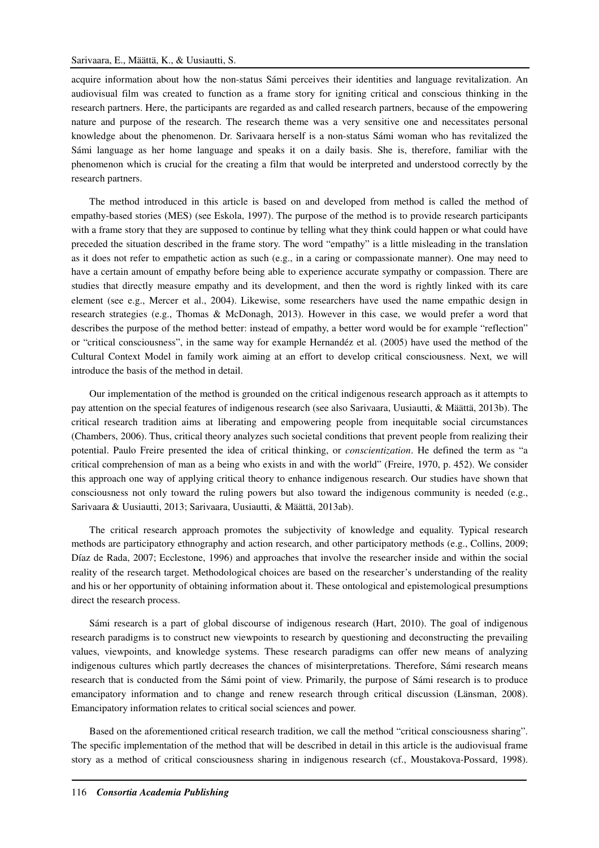acquire information about how the non-status Sámi perceives their identities and language revitalization. An audiovisual film was created to function as a frame story for igniting critical and conscious thinking in the research partners. Here, the participants are regarded as and called research partners, because of the empowering nature and purpose of the research. The research theme was a very sensitive one and necessitates personal knowledge about the phenomenon. Dr. Sarivaara herself is a non-status Sámi woman who has revitalized the Sámi language as her home language and speaks it on a daily basis. She is, therefore, familiar with the phenomenon which is crucial for the creating a film that would be interpreted and understood correctly by the research partners.

The method introduced in this article is based on and developed from method is called the method of empathy-based stories (MES) (see Eskola, 1997). The purpose of the method is to provide research participants with a frame story that they are supposed to continue by telling what they think could happen or what could have preceded the situation described in the frame story. The word "empathy" is a little misleading in the translation as it does not refer to empathetic action as such (e.g., in a caring or compassionate manner). One may need to have a certain amount of empathy before being able to experience accurate sympathy or compassion. There are studies that directly measure empathy and its development, and then the word is rightly linked with its care element (see e.g., Mercer et al., 2004). Likewise, some researchers have used the name empathic design in research strategies (e.g., Thomas & McDonagh, 2013). However in this case, we would prefer a word that describes the purpose of the method better: instead of empathy, a better word would be for example "reflection" or "critical consciousness", in the same way for example Hernandéz et al. (2005) have used the method of the Cultural Context Model in family work aiming at an effort to develop critical consciousness. Next, we will introduce the basis of the method in detail.

Our implementation of the method is grounded on the critical indigenous research approach as it attempts to pay attention on the special features of indigenous research (see also Sarivaara, Uusiautti, & Määttä, 2013b). The critical research tradition aims at liberating and empowering people from inequitable social circumstances (Chambers, 2006). Thus, critical theory analyzes such societal conditions that prevent people from realizing their potential. Paulo Freire presented the idea of critical thinking, or *conscientization*. He defined the term as "a critical comprehension of man as a being who exists in and with the world" (Freire, 1970, p. 452). We consider this approach one way of applying critical theory to enhance indigenous research. Our studies have shown that consciousness not only toward the ruling powers but also toward the indigenous community is needed (e.g., Sarivaara & Uusiautti, 2013; Sarivaara, Uusiautti, & Määttä, 2013ab).

The critical research approach promotes the subjectivity of knowledge and equality. Typical research methods are participatory ethnography and action research, and other participatory methods (e.g., Collins, 2009; Díaz de Rada, 2007; Ecclestone, 1996) and approaches that involve the researcher inside and within the social reality of the research target. Methodological choices are based on the researcher's understanding of the reality and his or her opportunity of obtaining information about it. These ontological and epistemological presumptions direct the research process.

Sámi research is a part of global discourse of indigenous research (Hart, 2010). The goal of indigenous research paradigms is to construct new viewpoints to research by questioning and deconstructing the prevailing values, viewpoints, and knowledge systems. These research paradigms can offer new means of analyzing indigenous cultures which partly decreases the chances of misinterpretations. Therefore, Sámi research means research that is conducted from the Sámi point of view. Primarily, the purpose of Sámi research is to produce emancipatory information and to change and renew research through critical discussion (Länsman, 2008). Emancipatory information relates to critical social sciences and power.

Based on the aforementioned critical research tradition, we call the method "critical consciousness sharing". The specific implementation of the method that will be described in detail in this article is the audiovisual frame story as a method of critical consciousness sharing in indigenous research (cf., Moustakova-Possard, 1998).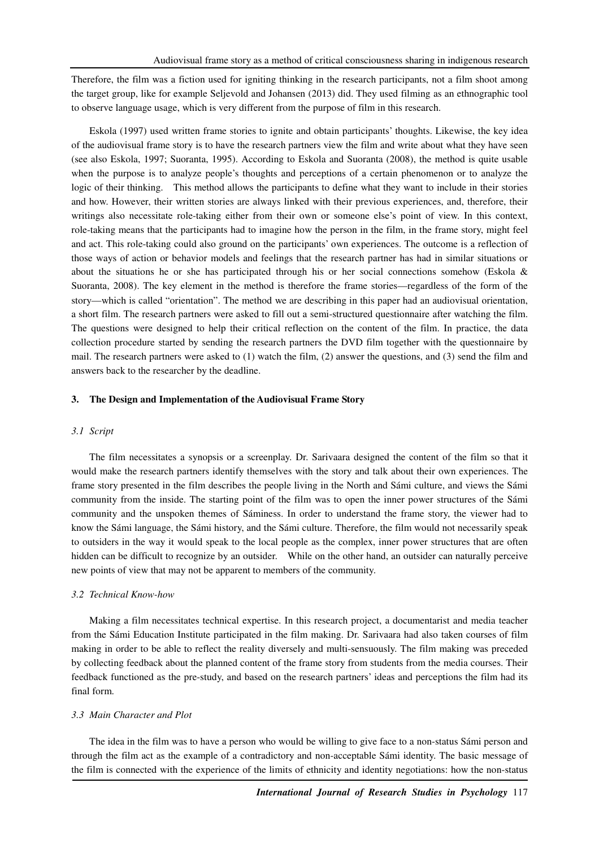Therefore, the film was a fiction used for igniting thinking in the research participants, not a film shoot among the target group, like for example Seljevold and Johansen (2013) did. They used filming as an ethnographic tool to observe language usage, which is very different from the purpose of film in this research.

Eskola (1997) used written frame stories to ignite and obtain participants' thoughts. Likewise, the key idea of the audiovisual frame story is to have the research partners view the film and write about what they have seen (see also Eskola, 1997; Suoranta, 1995). According to Eskola and Suoranta (2008), the method is quite usable when the purpose is to analyze people's thoughts and perceptions of a certain phenomenon or to analyze the logic of their thinking. This method allows the participants to define what they want to include in their stories and how. However, their written stories are always linked with their previous experiences, and, therefore, their writings also necessitate role-taking either from their own or someone else's point of view. In this context, role-taking means that the participants had to imagine how the person in the film, in the frame story, might feel and act. This role-taking could also ground on the participants' own experiences. The outcome is a reflection of those ways of action or behavior models and feelings that the research partner has had in similar situations or about the situations he or she has participated through his or her social connections somehow (Eskola  $\&$ Suoranta, 2008). The key element in the method is therefore the frame stories—regardless of the form of the story—which is called "orientation". The method we are describing in this paper had an audiovisual orientation, a short film. The research partners were asked to fill out a semi-structured questionnaire after watching the film. The questions were designed to help their critical reflection on the content of the film. In practice, the data collection procedure started by sending the research partners the DVD film together with the questionnaire by mail. The research partners were asked to (1) watch the film, (2) answer the questions, and (3) send the film and answers back to the researcher by the deadline.

#### **3. The Design and Implementation of the Audiovisual Frame Story**

#### *3.1 Script*

The film necessitates a synopsis or a screenplay. Dr. Sarivaara designed the content of the film so that it would make the research partners identify themselves with the story and talk about their own experiences. The frame story presented in the film describes the people living in the North and Sámi culture, and views the Sámi community from the inside. The starting point of the film was to open the inner power structures of the Sámi community and the unspoken themes of Sáminess. In order to understand the frame story, the viewer had to know the Sámi language, the Sámi history, and the Sámi culture. Therefore, the film would not necessarily speak to outsiders in the way it would speak to the local people as the complex, inner power structures that are often hidden can be difficult to recognize by an outsider. While on the other hand, an outsider can naturally perceive new points of view that may not be apparent to members of the community.

# *3.2 Technical Know-how*

Making a film necessitates technical expertise. In this research project, a documentarist and media teacher from the Sámi Education Institute participated in the film making. Dr. Sarivaara had also taken courses of film making in order to be able to reflect the reality diversely and multi-sensuously. The film making was preceded by collecting feedback about the planned content of the frame story from students from the media courses. Their feedback functioned as the pre-study, and based on the research partners' ideas and perceptions the film had its final form.

#### *3.3 Main Character and Plot*

The idea in the film was to have a person who would be willing to give face to a non-status Sámi person and through the film act as the example of a contradictory and non-acceptable Sámi identity. The basic message of the film is connected with the experience of the limits of ethnicity and identity negotiations: how the non-status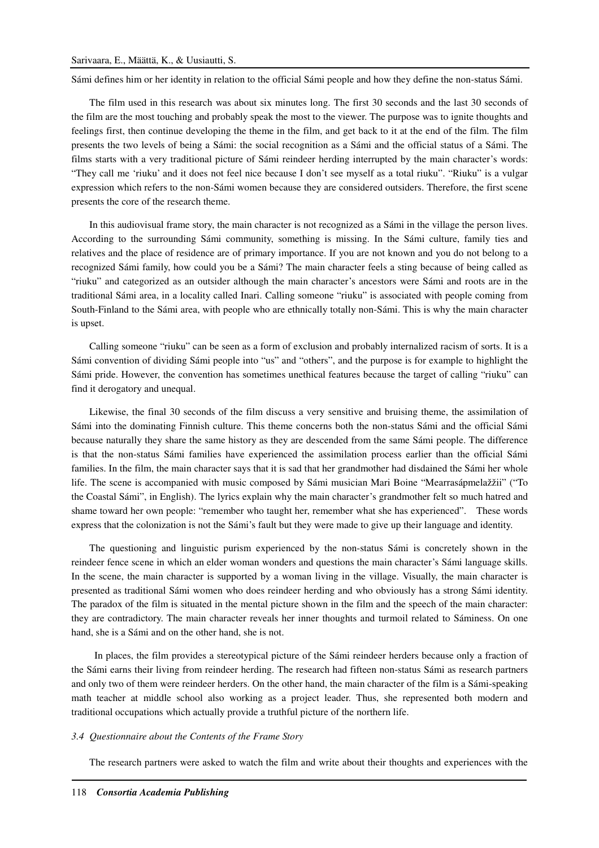#### Sarivaara, E., Määttä, K., & Uusiautti, S.

Sámi defines him or her identity in relation to the official Sámi people and how they define the non-status Sámi.

The film used in this research was about six minutes long. The first 30 seconds and the last 30 seconds of the film are the most touching and probably speak the most to the viewer. The purpose was to ignite thoughts and feelings first, then continue developing the theme in the film, and get back to it at the end of the film. The film presents the two levels of being a Sámi: the social recognition as a Sámi and the official status of a Sámi. The films starts with a very traditional picture of Sámi reindeer herding interrupted by the main character's words: "They call me 'riuku' and it does not feel nice because I don't see myself as a total riuku". "Riuku" is a vulgar expression which refers to the non-Sámi women because they are considered outsiders. Therefore, the first scene presents the core of the research theme.

In this audiovisual frame story, the main character is not recognized as a Sámi in the village the person lives. According to the surrounding Sámi community, something is missing. In the Sámi culture, family ties and relatives and the place of residence are of primary importance. If you are not known and you do not belong to a recognized Sámi family, how could you be a Sámi? The main character feels a sting because of being called as "riuku" and categorized as an outsider although the main character's ancestors were Sámi and roots are in the traditional Sámi area, in a locality called Inari. Calling someone "riuku" is associated with people coming from South-Finland to the Sámi area, with people who are ethnically totally non-Sámi. This is why the main character is upset.

Calling someone "riuku" can be seen as a form of exclusion and probably internalized racism of sorts. It is a Sámi convention of dividing Sámi people into "us" and "others", and the purpose is for example to highlight the Sámi pride. However, the convention has sometimes unethical features because the target of calling "riuku" can find it derogatory and unequal.

Likewise, the final 30 seconds of the film discuss a very sensitive and bruising theme, the assimilation of Sámi into the dominating Finnish culture. This theme concerns both the non-status Sámi and the official Sámi because naturally they share the same history as they are descended from the same Sámi people. The difference is that the non-status Sámi families have experienced the assimilation process earlier than the official Sámi families. In the film, the main character says that it is sad that her grandmother had disdained the Sámi her whole life. The scene is accompanied with music composed by Sámi musician Mari Boine "Mearrasápmelažžii" ("To the Coastal Sámi", in English). The lyrics explain why the main character's grandmother felt so much hatred and shame toward her own people: "remember who taught her, remember what she has experienced". These words express that the colonization is not the Sámi's fault but they were made to give up their language and identity.

The questioning and linguistic purism experienced by the non-status Sámi is concretely shown in the reindeer fence scene in which an elder woman wonders and questions the main character's Sámi language skills. In the scene, the main character is supported by a woman living in the village. Visually, the main character is presented as traditional Sámi women who does reindeer herding and who obviously has a strong Sámi identity. The paradox of the film is situated in the mental picture shown in the film and the speech of the main character: they are contradictory. The main character reveals her inner thoughts and turmoil related to Sáminess. On one hand, she is a Sámi and on the other hand, she is not.

 In places, the film provides a stereotypical picture of the Sámi reindeer herders because only a fraction of the Sámi earns their living from reindeer herding. The research had fifteen non-status Sámi as research partners and only two of them were reindeer herders. On the other hand, the main character of the film is a Sámi-speaking math teacher at middle school also working as a project leader. Thus, she represented both modern and traditional occupations which actually provide a truthful picture of the northern life.

### *3.4 Questionnaire about the Contents of the Frame Story*

The research partners were asked to watch the film and write about their thoughts and experiences with the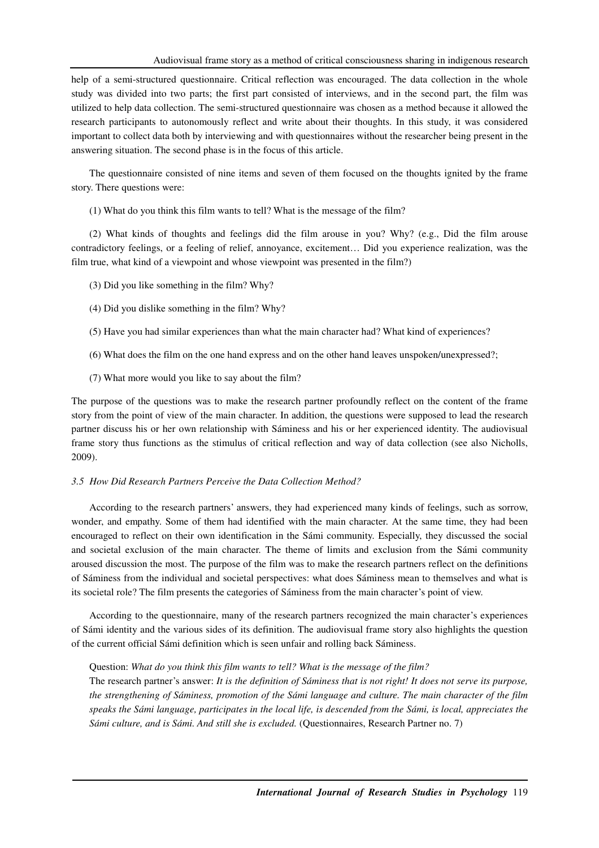help of a semi-structured questionnaire. Critical reflection was encouraged. The data collection in the whole study was divided into two parts; the first part consisted of interviews, and in the second part, the film was utilized to help data collection. The semi-structured questionnaire was chosen as a method because it allowed the research participants to autonomously reflect and write about their thoughts. In this study, it was considered important to collect data both by interviewing and with questionnaires without the researcher being present in the answering situation. The second phase is in the focus of this article.

The questionnaire consisted of nine items and seven of them focused on the thoughts ignited by the frame story. There questions were:

(1) What do you think this film wants to tell? What is the message of the film?

(2) What kinds of thoughts and feelings did the film arouse in you? Why? (e.g., Did the film arouse contradictory feelings, or a feeling of relief, annoyance, excitement… Did you experience realization, was the film true, what kind of a viewpoint and whose viewpoint was presented in the film?)

- (3) Did you like something in the film? Why?
- (4) Did you dislike something in the film? Why?
- (5) Have you had similar experiences than what the main character had? What kind of experiences?
- (6) What does the film on the one hand express and on the other hand leaves unspoken/unexpressed?;
- (7) What more would you like to say about the film?

The purpose of the questions was to make the research partner profoundly reflect on the content of the frame story from the point of view of the main character. In addition, the questions were supposed to lead the research partner discuss his or her own relationship with Sáminess and his or her experienced identity. The audiovisual frame story thus functions as the stimulus of critical reflection and way of data collection (see also Nicholls, 2009).

# *3.5 How Did Research Partners Perceive the Data Collection Method?*

According to the research partners' answers, they had experienced many kinds of feelings, such as sorrow, wonder, and empathy. Some of them had identified with the main character. At the same time, they had been encouraged to reflect on their own identification in the Sámi community. Especially, they discussed the social and societal exclusion of the main character. The theme of limits and exclusion from the Sámi community aroused discussion the most. The purpose of the film was to make the research partners reflect on the definitions of Sáminess from the individual and societal perspectives: what does Sáminess mean to themselves and what is its societal role? The film presents the categories of Sáminess from the main character's point of view.

According to the questionnaire, many of the research partners recognized the main character's experiences of Sámi identity and the various sides of its definition. The audiovisual frame story also highlights the question of the current official Sámi definition which is seen unfair and rolling back Sáminess.

### Question: *What do you think this film wants to tell? What is the message of the film?*

The research partner's answer: *It is the definition of Sáminess that is not right! It does not serve its purpose, the strengthening of Sáminess, promotion of the Sámi language and culture. The main character of the film speaks the Sámi language, participates in the local life, is descended from the Sámi, is local, appreciates the Sámi culture, and is Sámi. And still she is excluded.* (Questionnaires, Research Partner no. 7)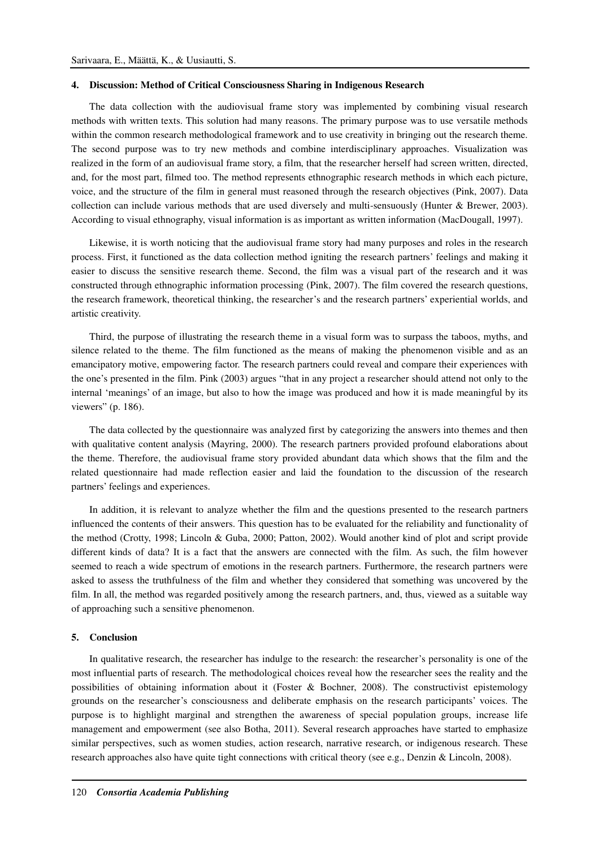#### **4. Discussion: Method of Critical Consciousness Sharing in Indigenous Research**

The data collection with the audiovisual frame story was implemented by combining visual research methods with written texts. This solution had many reasons. The primary purpose was to use versatile methods within the common research methodological framework and to use creativity in bringing out the research theme. The second purpose was to try new methods and combine interdisciplinary approaches. Visualization was realized in the form of an audiovisual frame story, a film, that the researcher herself had screen written, directed, and, for the most part, filmed too. The method represents ethnographic research methods in which each picture, voice, and the structure of the film in general must reasoned through the research objectives (Pink, 2007). Data collection can include various methods that are used diversely and multi-sensuously (Hunter & Brewer, 2003). According to visual ethnography, visual information is as important as written information (MacDougall, 1997).

Likewise, it is worth noticing that the audiovisual frame story had many purposes and roles in the research process. First, it functioned as the data collection method igniting the research partners' feelings and making it easier to discuss the sensitive research theme. Second, the film was a visual part of the research and it was constructed through ethnographic information processing (Pink, 2007). The film covered the research questions, the research framework, theoretical thinking, the researcher's and the research partners' experiential worlds, and artistic creativity.

Third, the purpose of illustrating the research theme in a visual form was to surpass the taboos, myths, and silence related to the theme. The film functioned as the means of making the phenomenon visible and as an emancipatory motive, empowering factor. The research partners could reveal and compare their experiences with the one's presented in the film. Pink (2003) argues "that in any project a researcher should attend not only to the internal 'meanings' of an image, but also to how the image was produced and how it is made meaningful by its viewers" (p. 186).

The data collected by the questionnaire was analyzed first by categorizing the answers into themes and then with qualitative content analysis (Mayring, 2000). The research partners provided profound elaborations about the theme. Therefore, the audiovisual frame story provided abundant data which shows that the film and the related questionnaire had made reflection easier and laid the foundation to the discussion of the research partners' feelings and experiences.

In addition, it is relevant to analyze whether the film and the questions presented to the research partners influenced the contents of their answers. This question has to be evaluated for the reliability and functionality of the method (Crotty, 1998; Lincoln & Guba, 2000; Patton, 2002). Would another kind of plot and script provide different kinds of data? It is a fact that the answers are connected with the film. As such, the film however seemed to reach a wide spectrum of emotions in the research partners. Furthermore, the research partners were asked to assess the truthfulness of the film and whether they considered that something was uncovered by the film. In all, the method was regarded positively among the research partners, and, thus, viewed as a suitable way of approaching such a sensitive phenomenon.

#### **5. Conclusion**

In qualitative research, the researcher has indulge to the research: the researcher's personality is one of the most influential parts of research. The methodological choices reveal how the researcher sees the reality and the possibilities of obtaining information about it (Foster & Bochner, 2008). The constructivist epistemology grounds on the researcher's consciousness and deliberate emphasis on the research participants' voices. The purpose is to highlight marginal and strengthen the awareness of special population groups, increase life management and empowerment (see also Botha, 2011). Several research approaches have started to emphasize similar perspectives, such as women studies, action research, narrative research, or indigenous research. These research approaches also have quite tight connections with critical theory (see e.g., Denzin & Lincoln, 2008).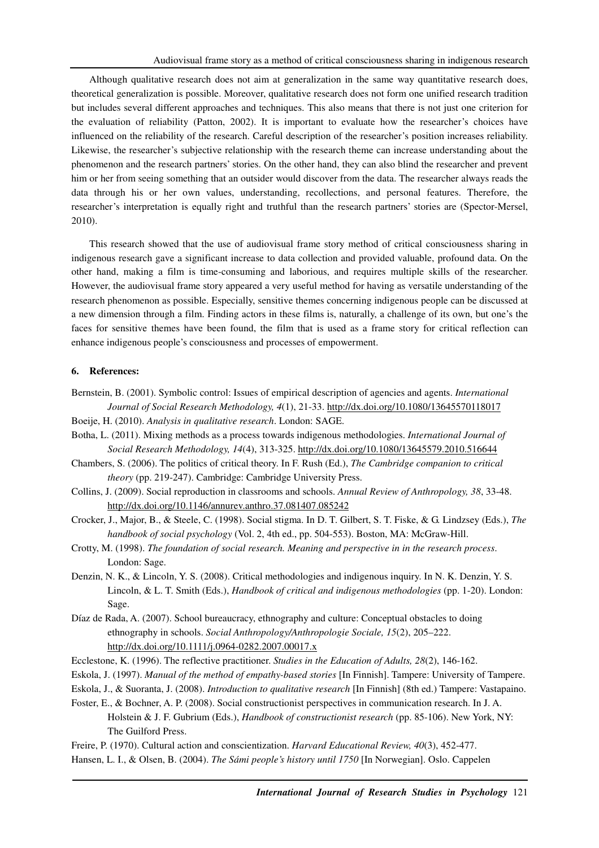Although qualitative research does not aim at generalization in the same way quantitative research does, theoretical generalization is possible. Moreover, qualitative research does not form one unified research tradition but includes several different approaches and techniques. This also means that there is not just one criterion for the evaluation of reliability (Patton, 2002). It is important to evaluate how the researcher's choices have influenced on the reliability of the research. Careful description of the researcher's position increases reliability. Likewise, the researcher's subjective relationship with the research theme can increase understanding about the phenomenon and the research partners' stories. On the other hand, they can also blind the researcher and prevent him or her from seeing something that an outsider would discover from the data. The researcher always reads the data through his or her own values, understanding, recollections, and personal features. Therefore, the researcher's interpretation is equally right and truthful than the research partners' stories are (Spector-Mersel, 2010).

This research showed that the use of audiovisual frame story method of critical consciousness sharing in indigenous research gave a significant increase to data collection and provided valuable, profound data. On the other hand, making a film is time-consuming and laborious, and requires multiple skills of the researcher. However, the audiovisual frame story appeared a very useful method for having as versatile understanding of the research phenomenon as possible. Especially, sensitive themes concerning indigenous people can be discussed at a new dimension through a film. Finding actors in these films is, naturally, a challenge of its own, but one's the faces for sensitive themes have been found, the film that is used as a frame story for critical reflection can enhance indigenous people's consciousness and processes of empowerment.

# **6. References:**

- Bernstein, B. (2001). Symbolic control: Issues of empirical description of agencies and agents. *International Journal of Social Research Methodology, 4*(1), 21-33. http://dx.doi.org/10.1080/13645570118017
- Boeije, H. (2010). *Analysis in qualitative research*. London: SAGE.
- Botha, L. (2011). Mixing methods as a process towards indigenous methodologies. *International Journal of Social Research Methodology, 14*(4), 313-325. http://dx.doi.org/10.1080/13645579.2010.516644
- Chambers, S. (2006). The politics of critical theory. In F. Rush (Ed.), *The Cambridge companion to critical theory* (pp. 219-247). Cambridge: Cambridge University Press.
- Collins, J. (2009). Social reproduction in classrooms and schools. *Annual Review of Anthropology, 38*, 33-48. http://dx.doi.org/10.1146/annurev.anthro.37.081407.085242
- Crocker, J., Major, B., & Steele, C. (1998). Social stigma. In D. T. Gilbert, S. T. Fiske, & G. Lindzsey (Eds.), *The handbook of social psychology* (Vol. 2, 4th ed., pp. 504-553). Boston, MA: McGraw-Hill.
- Crotty, M. (1998). *The foundation of social research. Meaning and perspective in in the research process*. London: Sage.
- Denzin, N. K., & Lincoln, Y. S. (2008). Critical methodologies and indigenous inquiry. In N. K. Denzin, Y. S. Lincoln, & L. T. Smith (Eds.), *Handbook of critical and indigenous methodologies* (pp. 1-20). London: Sage.
- Díaz de Rada, A. (2007). School bureaucracy, ethnography and culture: Conceptual obstacles to doing ethnography in schools. *Social Anthropology/Anthropologie Sociale, 15*(2), 205–222. http://dx.doi.org/10.1111/j.0964-0282.2007.00017.x
- Ecclestone, K. (1996). The reflective practitioner. *Studies in the Education of Adults, 28*(2), 146-162.
- Eskola, J. (1997). *Manual of the method of empathy-based stories* [In Finnish]. Tampere: University of Tampere.
- Eskola, J., & Suoranta, J. (2008). *Introduction to qualitative research* [In Finnish] (8th ed.) Tampere: Vastapaino.
- Foster, E., & Bochner, A. P. (2008). Social constructionist perspectives in communication research. In J. A. Holstein & J. F. Gubrium (Eds.), *Handbook of constructionist research* (pp. 85-106). New York, NY: The Guilford Press.
- Freire, P. (1970). Cultural action and conscientization. *Harvard Educational Review, 40*(3), 452-477.
- Hansen, L. I., & Olsen, B. (2004). *The Sámi people's history until 1750* [In Norwegian]. Oslo. Cappelen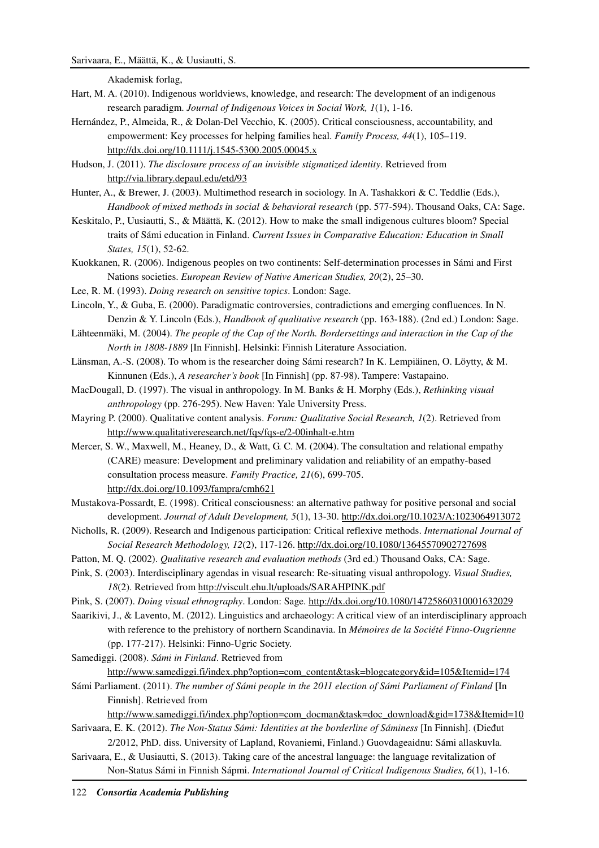# Sarivaara, E., Määttä, K., & Uusiautti, S.

Akademisk forlag,

- Hart, M. A. (2010). Indigenous worldviews, knowledge, and research: The development of an indigenous research paradigm. *Journal of Indigenous Voices in Social Work, 1*(1), 1-16.
- Hernández, P., Almeida, R., & Dolan-Del Vecchio, K. (2005). Critical consciousness, accountability, and empowerment: Key processes for helping families heal. *Family Process, 44*(1), 105–119. http://dx.doi.org/10.1111/j.1545-5300.2005.00045.x
- Hudson, J. (2011). *The disclosure process of an invisible stigmatized identity*. Retrieved from http://via.library.depaul.edu/etd/93
- Hunter, A., & Brewer, J. (2003). Multimethod research in sociology. In A. Tashakkori & C. Teddlie (Eds.), *Handbook of mixed methods in social & behavioral research* (pp. 577-594). Thousand Oaks, CA: Sage.
- Keskitalo, P., Uusiautti, S., & Määttä, K. (2012). How to make the small indigenous cultures bloom? Special traits of Sámi education in Finland. *Current Issues in Comparative Education: Education in Small States, 15*(1), 52-62.
- Kuokkanen, R. (2006). Indigenous peoples on two continents: Self-determination processes in Sámi and First Nations societies. *European Review of Native American Studies, 20*(2), 25–30.
- Lee, R. M. (1993). *Doing research on sensitive topics*. London: Sage.
- Lincoln, Y., & Guba, E. (2000). Paradigmatic controversies, contradictions and emerging confluences. In N. Denzin & Y. Lincoln (Eds.), *Handbook of qualitative research* (pp. 163-188). (2nd ed.) London: Sage.
- Lähteenmäki, M. (2004). *The people of the Cap of the North. Bordersettings and interaction in the Cap of the North in 1808-1889* [In Finnish]. Helsinki: Finnish Literature Association.
- Länsman, A.-S. (2008). To whom is the researcher doing Sámi research? In K. Lempiäinen, O. Löytty, & M. Kinnunen (Eds.), *A researcher's book* [In Finnish] (pp. 87-98). Tampere: Vastapaino.
- MacDougall, D. (1997). The visual in anthropology. In M. Banks & H. Morphy (Eds.), *Rethinking visual anthropology* (pp. 276-295). New Haven: Yale University Press.
- Mayring P. (2000). Qualitative content analysis. *Forum: Qualitative Social Research, 1*(2). Retrieved from http://www.qualitativeresearch.net/fqs/fqs-e/2-00inhalt-e.htm
- Mercer, S. W., Maxwell, M., Heaney, D., & Watt, G. C. M. (2004). The consultation and relational empathy (CARE) measure: Development and preliminary validation and reliability of an empathy-based consultation process measure. *Family Practice, 21*(6), 699-705. http://dx.doi.org/10.1093/fampra/cmh621
- Mustakova-Possardt, E. (1998). Critical consciousness: an alternative pathway for positive personal and social development. *Journal of Adult Development, 5*(1), 13-30. http://dx.doi.org/10.1023/A:1023064913072
- Nicholls, R. (2009). Research and Indigenous participation: Critical reflexive methods. *International Journal of Social Research Methodology, 12*(2), 117-126. http://dx.doi.org/10.1080/13645570902727698
- Patton, M. Q. (2002). *Qualitative research and evaluation methods* (3rd ed.) Thousand Oaks, CA: Sage.
- Pink, S. (2003). Interdisciplinary agendas in visual research: Re-situating visual anthropology. *Visual Studies, 18*(2). Retrieved from http://viscult.ehu.lt/uploads/SARAHPINK.pdf
- Pink, S. (2007). *Doing visual ethnography*. London: Sage. http://dx.doi.org/10.1080/14725860310001632029
- Saarikivi, J., & Lavento, M. (2012). Linguistics and archaeology: A critical view of an interdisciplinary approach with reference to the prehistory of northern Scandinavia. In *Mémoires de la Société Finno-Ougrienne* (pp. 177-217). Helsinki: Finno-Ugric Society.
- Samediggi. (2008). *Sámi in Finland*. Retrieved from

http://www.samediggi.fi/index.php?option=com\_content&task=blogcategory&id=105&Itemid=174

Sámi Parliament. (2011). *The number of Sámi people in the 2011 election of Sámi Parliament of Finland* [In Finnish]. Retrieved from

http://www.samediggi.fi/index.php?option=com\_docman&task=doc\_download&gid=1738&Itemid=10

- Sarivaara, E. K. (2012). *The Non-Status Sámi: Identities at the borderline of Sáminess* [In Finnish]. (Dieđut 2/2012, PhD. diss. University of Lapland, Rovaniemi, Finland.) Guovdageaidnu: Sámi allaskuvla.
- Sarivaara, E., & Uusiautti, S. (2013). Taking care of the ancestral language: the language revitalization of Non-Status Sámi in Finnish Sápmi. *International Journal of Critical Indigenous Studies, 6*(1), 1-16.